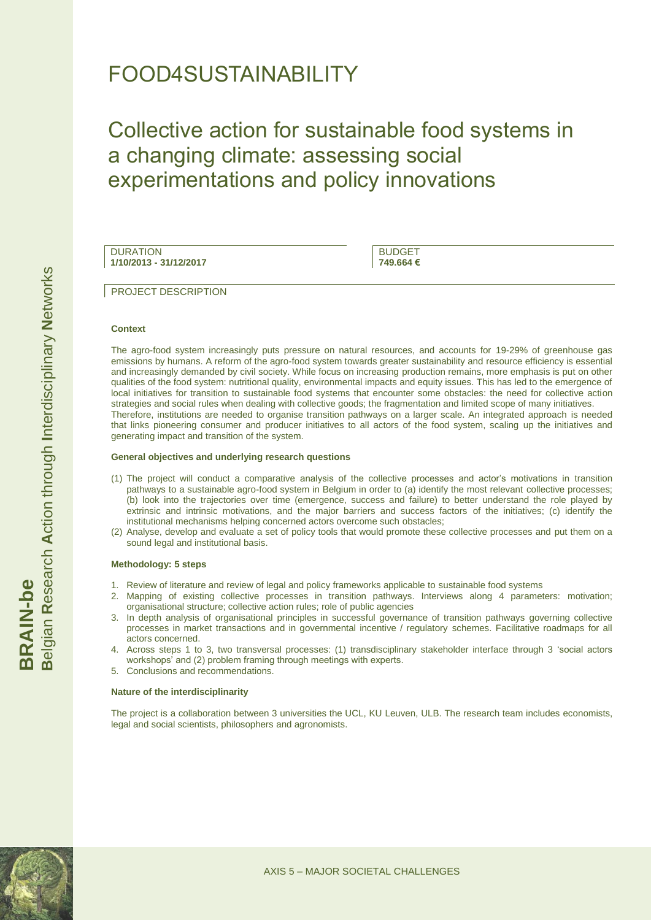## FOOD4SUSTAINABILITY

# Collective action for sustainable food systems in a changing climate: assessing social experimentations and policy innovations

**DURATION 1/10/2013 - 31/12/2017**

BUDGET **749.664 €**

PROJECT DESCRIPTION

#### **Context**

The agro-food system increasingly puts pressure on natural resources, and accounts for 19-29% of greenhouse gas emissions by humans. A reform of the agro-food system towards greater sustainability and resource efficiency is essential and increasingly demanded by civil society. While focus on increasing production remains, more emphasis is put on other qualities of the food system: nutritional quality, environmental impacts and equity issues. This has led to the emergence of local initiatives for transition to sustainable food systems that encounter some obstacles: the need for collective action strategies and social rules when dealing with collective goods; the fragmentation and limited scope of many initiatives. Therefore, institutions are needed to organise transition pathways on a larger scale. An integrated approach is needed that links pioneering consumer and producer initiatives to all actors of the food system, scaling up the initiatives and generating impact and transition of the system.

#### **General objectives and underlying research questions**

- (1) The project will conduct a comparative analysis of the collective processes and actor"s motivations in transition pathways to a sustainable agro-food system in Belgium in order to (a) identify the most relevant collective processes; (b) look into the trajectories over time (emergence, success and failure) to better understand the role played by extrinsic and intrinsic motivations, and the major barriers and success factors of the initiatives; (c) identify the institutional mechanisms helping concerned actors overcome such obstacles;
- (2) Analyse, develop and evaluate a set of policy tools that would promote these collective processes and put them on a sound legal and institutional basis.

#### **Methodology: 5 steps**

- 1. Review of literature and review of legal and policy frameworks applicable to sustainable food systems
- 2. Mapping of existing collective processes in transition pathways. Interviews along 4 parameters: motivation; organisational structure; collective action rules; role of public agencies
- 3. In depth analysis of organisational principles in successful governance of transition pathways governing collective processes in market transactions and in governmental incentive / regulatory schemes. Facilitative roadmaps for all actors concerned.
- 4. Across steps 1 to 3, two transversal processes: (1) transdisciplinary stakeholder interface through 3 "social actors workshops' and (2) problem framing through meetings with experts.
- 5. Conclusions and recommendations.

#### **Nature of the interdisciplinarity**

The project is a collaboration between 3 universities the UCL, KU Leuven, ULB. The research team includes economists, legal and social scientists, philosophers and agronomists.